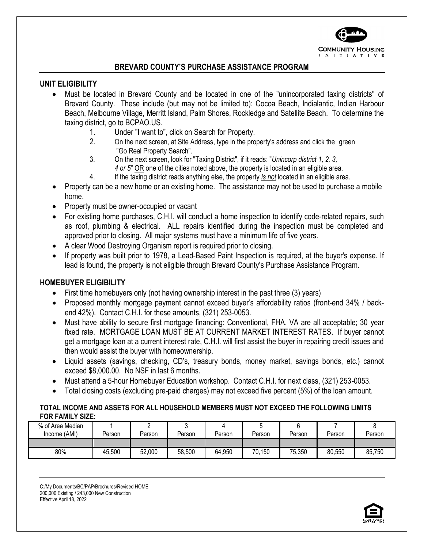

### **BREVARD COUNTY'S PURCHASE ASSISTANCE PROGRAM**

#### **UNIT ELIGIBILITY**

- Must be located in Brevard County and be located in one of the "unincorporated taxing districts" of Brevard County. These include (but may not be limited to): Cocoa Beach, Indialantic, Indian Harbour Beach, Melbourne Village, Merritt Island, Palm Shores, Rockledge and Satellite Beach. To determine the taxing district, go to BCPAO.US.
	- 1. Under "I want to", click on Search for Property.
	- 2. On the next screen, at Site Address, type in the property's address and click the green "Go Real Property Search".
	- 3. On the next screen, look for "Taxing District", if it reads: "*Unincorp district 1, 2, 3, 4 or 5*" OR one of the cities noted above, the property is located in an eligible area.
	- 4. If the taxing district reads anything else, the property *is not* located in an eligible area.
- Property can be a new home or an existing home. The assistance may not be used to purchase a mobile home.
- Property must be owner-occupied or vacant
- For existing home purchases, C.H.I. will conduct a home inspection to identify code-related repairs, such as roof, plumbing & electrical. ALL repairs identified during the inspection must be completed and approved prior to closing. All major systems must have a minimum life of five years.
- A clear Wood Destroying Organism report is required prior to closing.
- If property was built prior to 1978, a Lead-Based Paint Inspection is required, at the buyer's expense. If lead is found, the property is not eligible through Brevard County's Purchase Assistance Program.

### **HOMEBUYER ELIGIBILITY**

- First time homebuyers only (not having ownership interest in the past three (3) years)
- Proposed monthly mortgage payment cannot exceed buyer's affordability ratios (front-end 34% / backend 42%). Contact C.H.I. for these amounts, (321) 253-0053.
- Must have ability to secure first mortgage financing: Conventional, FHA, VA are all acceptable; 30 year fixed rate. MORTGAGE LOAN MUST BE AT CURRENT MARKET INTEREST RATES. If buyer cannot get a mortgage loan at a current interest rate, C.H.I. will first assist the buyer in repairing credit issues and then would assist the buyer with homeownership.
- Liquid assets (savings, checking, CD's, treasury bonds, money market, savings bonds, etc.) cannot exceed \$8,000.00. No NSF in last 6 months.
- Must attend a 5-hour Homebuyer Education workshop. Contact C.H.I. for next class, (321) 253-0053.
- Total closing costs (excluding pre-paid charges) may not exceed five percent (5%) of the loan amount.

### **TOTAL INCOME AND ASSETS FOR ALL HOUSEHOLD MEMBERS MUST NOT EXCEED THE FOLLOWING LIMITS FOR FAMILY SIZE:**

| % of Area Median<br>Income (AMI) | Person | Person | Person | Person | Person | Person | Person | Person |
|----------------------------------|--------|--------|--------|--------|--------|--------|--------|--------|
|                                  |        |        |        |        |        |        |        |        |
| 80%                              | 45,500 | 52,000 | 58,500 | 64,950 | 70,150 | 75,350 | 80,550 | 85,750 |

C:/My Documents/BC/PAP/Brochures/Revised HOME 200,000 Existing / 243,000 New Construction Effective April 18, 2022

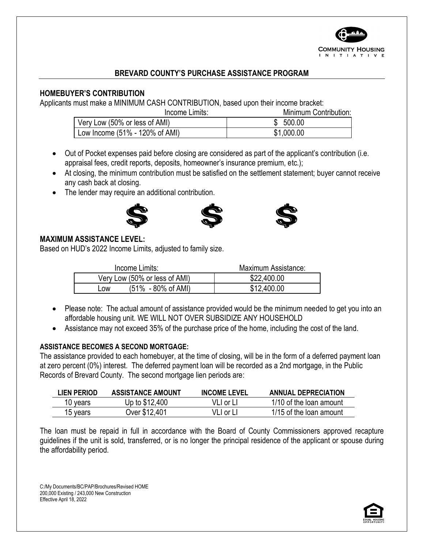

# **BREVARD COUNTY'S PURCHASE ASSISTANCE PROGRAM**

## **HOMEBUYER'S CONTRIBUTION**

Applicants must make a MINIMUM CASH CONTRIBUTION, based upon their income bracket:

Income Limits: Minimum Contribution:

| Very Low (50% or less of AMI)  | 500.00  |
|--------------------------------|---------|
| Low Income (51% - 120% of AMI) | .000.00 |

- Out of Pocket expenses paid before closing are considered as part of the applicant's contribution (i.e. appraisal fees, credit reports, deposits, homeowner's insurance premium, etc.);
- At closing, the minimum contribution must be satisfied on the settlement statement; buyer cannot receive any cash back at closing.
- The lender may require an additional contribution.







### **MAXIMUM ASSISTANCE LEVEL:**

Based on HUD's 2022 Income Limits, adjusted to family size.

| Income Limits:                               | Maximum Assistance: |
|----------------------------------------------|---------------------|
| Very Low (50% or less of AMI)                | \$22,400.00         |
| $(51\% - 80\% \text{ of AMI})$<br><b>LOW</b> | \$12,400.00         |

- Please note: The actual amount of assistance provided would be the minimum needed to get you into an affordable housing unit. WE WILL NOT OVER SUBSIDIZE ANY HOUSEHOLD
- Assistance may not exceed 35% of the purchase price of the home, including the cost of the land.

### **ASSISTANCE BECOMES A SECOND MORTGAGE:**

The assistance provided to each homebuyer, at the time of closing, will be in the form of a deferred payment loan at zero percent (0%) interest. The deferred payment loan will be recorded as a 2nd mortgage, in the Public Records of Brevard County. The second mortgage lien periods are:

| LIEN PERIOD | <b>ASSISTANCE AMOUNT</b> | <b>INCOME LEVEL</b> | <b>ANNUAL DEPRECIATION</b> |
|-------------|--------------------------|---------------------|----------------------------|
| 10 years    | Up to \$12,400           | VLI or Ll           | 1/10 of the loan amount    |
| 15 years    | Over \$12,401            | VLI or LI           | 1/15 of the loan amount    |

The loan must be repaid in full in accordance with the Board of County Commissioners approved recapture guidelines if the unit is sold, transferred, or is no longer the principal residence of the applicant or spouse during the affordability period.

C:/My Documents/BC/PAP/Brochures/Revised HOME 200,000 Existing / 243,000 New Construction Effective April 18, 2022